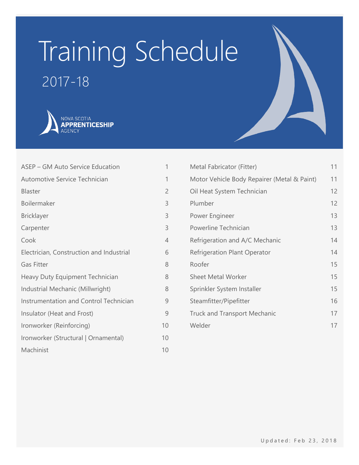# Training Schedule



2017-18

| ASEP - GM Auto Service Education         | 1              |
|------------------------------------------|----------------|
| Automotive Service Technician            | 1              |
| Blaster                                  | $\overline{c}$ |
| Boilermaker                              | 3              |
| <b>Bricklayer</b>                        | 3              |
| Carpenter                                | 3              |
| Cook                                     | $\overline{4}$ |
| Electrician, Construction and Industrial | 6              |
| <b>Gas Fitter</b>                        | 8              |
| Heavy Duty Equipment Technician          | 8              |
| Industrial Mechanic (Millwright)         | 8              |
| Instrumentation and Control Technician   | 9              |
| Insulator (Heat and Frost)               | 9              |
| Ironworker (Reinforcing)                 | 10             |
| Ironworker (Structural   Ornamental)     | 10             |
| Machinist                                | 10             |

| Metal Fabricator (Fitter)                   | 11 |
|---------------------------------------------|----|
| Motor Vehicle Body Repairer (Metal & Paint) | 11 |
| Oil Heat System Technician                  | 12 |
| Plumber                                     | 12 |
| Power Engineer                              | 13 |
| Powerline Technician                        | 13 |
| Refrigeration and A/C Mechanic              | 14 |
| <b>Refrigeration Plant Operator</b>         | 14 |
| Roofer                                      | 15 |
| <b>Sheet Metal Worker</b>                   | 15 |
| Sprinkler System Installer                  | 15 |
| Steamfitter/Pipefitter                      | 16 |
| <b>Truck and Transport Mechanic</b>         | 17 |
| Welder                                      | 17 |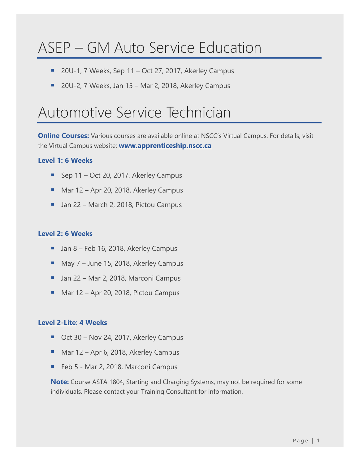# <span id="page-1-0"></span>ASEP – GM Auto Service Education

- 20U-1, 7 Weeks, Sep 11 Oct 27, 2017, Akerley Campus
- 20U-2, 7 Weeks, Jan 15 Mar 2, 2018, Akerley Campus

### <span id="page-1-1"></span>Automotive Service Technician

**Online Courses:** Various courses are available online at NSCC's Virtual Campus. For details, visit the Virtual Campus website: **[www.apprenticeship.nscc.ca](http://www.apprenticeship.nscc.ca/)**

#### **[Level 1:](https://www.nsapprenticeship.ca/sites/default/files/docs/pubs/ASTNACS.pdf) 6 Weeks**

- Sep 11 Oct 20, 2017, Akerley Campus
- Mar 12 Apr 20, 2018, Akerley Campus
- Jan 22 March 2, 2018, Pictou Campus

#### **[Level 2:](https://www.nsapprenticeship.ca/sites/default/files/docs/pubs/ASTIPG.pdf) 6 Weeks**

- Jan 8 Feb 16, 2018, Akerley Campus
- May 7 June 15, 2018, Akerley Campus
- Jan 22 Mar 2, 2018, Marconi Campus
- Mar 12 Apr 20, 2018, Pictou Campus

#### **[Level 2-Lite](https://www.nsapprenticeship.ca/sites/default/files/docs/pubs/ASTIPG.pdf)**: **4 Weeks**

- Oct 30 Nov 24, 2017, Akerley Campus
- Mar 12 Apr 6, 2018, Akerley Campus
- Feb 5 Mar 2, 2018, Marconi Campus

**Note:** Course ASTA 1804, Starting and Charging Systems, may not be required for some individuals. Please contact your Training Consultant for information.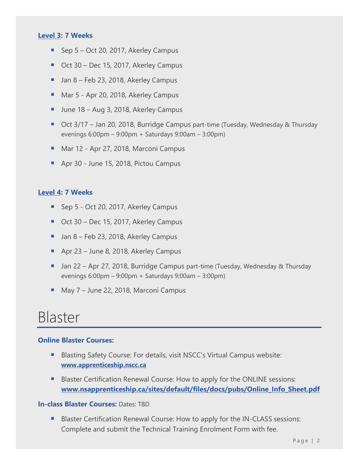#### **[Level 3:](https://www.nsapprenticeship.ca/sites/default/files/docs/pubs/ASTIPG.pdf) 7 Weeks**

- Sep 5 Oct 20, 2017, Akerley Campus
- Oct 30 Dec 15, 2017, Akerley Campus
- Jan 8 Feb 23, 2018, Akerley Campus
- Mar 5 Apr 20, 2018, Akerley Campus
- June 18 Aug 3, 2018, Akerley Campus
- Oct 3/17 Jan 20, 2018, Burridge Campus part-time (Tuesday, Wednesday & Thursday evenings 6:00pm – 9:00pm + Saturdays 9:00am – 3:00pm)
- Mar 12 Apr 27, 2018, Marconi Campus
- Apr 30 June 15, 2018, Pictou Campus

#### **[Level 4:](https://www.nsapprenticeship.ca/sites/default/files/docs/pubs/ASTIPG.pdf) 7 Weeks**

- Sep 5 Oct 20, 2017, Akerley Campus
- Oct 30 Dec 15, 2017, Akerley Campus
- Jan 8 Feb 23, 2018, Akerley Campus
- Apr 23 June 8, 2018, Akerley Campus
- Jan 22 Apr 27, 2018, Burridge Campus part-time (Tuesday, Wednesday & Thursday evenings 6:00pm – 9:00pm + Saturdays 9:00am – 3:00pm)
- May 7 June 22, 2018, Marconi Campus

### <span id="page-2-0"></span>Blaster

#### **Online Blaster Courses:**

- Blasting Safety Course: For details, visit NSCC's Virtual Campus website: **[www.apprenticeship.nscc.ca](http://www.apprenticeship.nscc.ca/)**
- Blaster Certification Renewal Course: How to apply for the ONLINE sessions: **[www.nsapprenticeship.ca/sites/default/files/docs/pubs/Online\\_Info\\_Sheet.pdf](http://www.nsapprenticeship.ca/sites/default/files/docs/pubs/Online_Info_Sheet.pdf)**

#### **In-class Blaster Courses:** Dates: TBD

Blaster Certification Renewal Course: How to apply for the IN-CLASS sessions: Complete and submit the Technical Training Enrolment Form with fee.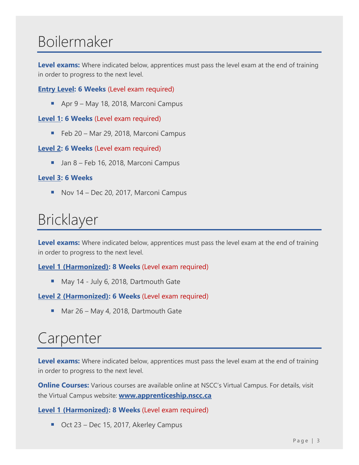# <span id="page-3-0"></span>Boilermaker

**Level exams:** Where indicated below, apprentices must pass the level exam at the end of training in order to progress to the next level.

**[Entry Level:](https://www.nsapprenticeship.ca/sites/default/files/docs/pubs/BACS.pdf) 6 Weeks** (Level exam required)

■ Apr 9 – May 18, 2018, Marconi Campus

#### **[Level 1:](https://www.nsapprenticeship.ca/sites/default/files/docs/pubs/BACS.pdf) 6 Weeks** (Level exam required)

■ Feb 20 – Mar 29, 2018, Marconi Campus

#### **[Level 2:](https://www.nsapprenticeship.ca/sites/default/files/docs/pubs/BACS.pdf) 6 Weeks** (Level exam required)

**Jan 8 – Feb 16, 2018, Marconi Campus** 

#### **[Level 3:](https://www.nsapprenticeship.ca/sites/default/files/docs/pubs/BACS.pdf) 6 Weeks**

■ Nov 14 – Dec 20, 2017, Marconi Campus

# <span id="page-3-1"></span>Bricklayer

**Level exams:** Where indicated below, apprentices must pass the level exam at the end of training in order to progress to the next level.

**Level [1 \(Harmonized\):](https://www.nsapprenticeship.ca/sites/default/files/docs/pubs/BrickAACS.pdf) 8 Weeks** (Level exam required)

■ May 14 - July 6, 2018, Dartmouth Gate

#### **[Level 2 \(Harmonized\):](https://nsapprenticeship.ca/sites/default/files/docs/pubs/BrickAACS.pdf) 6 Weeks** (Level exam required)

■ Mar 26 – May 4, 2018, Dartmouth Gate

# <span id="page-3-2"></span>Carpenter

**Level exams:** Where indicated below, apprentices must pass the level exam at the end of training in order to progress to the next level.

**Online Courses:** Various courses are available online at NSCC's Virtual Campus. For details, visit the Virtual Campus website: **[www.apprenticeship.nscc.ca](http://www.apprenticeship.nscc.ca/)**

**[Level 1 \(Harmonized\):](https://www.nsapprenticeship.ca/sites/default/files/docs/pubs/CarpAACS.pdf) 8 Weeks** (Level exam required)

■ Oct 23 – Dec 15, 2017, Akerley Campus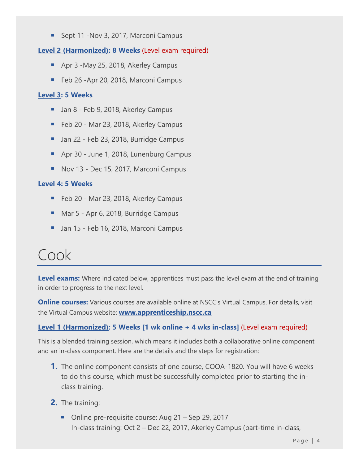■ Sept 11 -Nov 3, 2017, Marconi Campus

#### **[Level 2 \(Harmonized\):](https://www.nsapprenticeship.ca/sites/default/files/docs/pubs/CarpAACS.pdf) 8 Weeks** (Level exam required)

- Apr 3 -May 25, 2018, Akerley Campus
- Feb 26 -Apr 20, 2018, Marconi Campus

#### **[Level 3:](https://www.nsapprenticeship.ca/sites/default/files/docs/pubs/CarpIPG.pdf) 5 Weeks**

- Jan 8 Feb 9, 2018, Akerley Campus
- Feb 20 Mar 23, 2018, Akerley Campus
- **■** Jan 22 Feb 23, 2018, Burridge Campus
- Apr 30 June 1, 2018, Lunenburg Campus
- Nov 13 Dec 15, 2017, Marconi Campus

#### **[Level 4:](https://www.nsapprenticeship.ca/sites/default/files/docs/pubs/CarpIPG.pdf) 5 Weeks**

- Feb 20 Mar 23, 2018, Akerley Campus
- Mar 5 Apr 6, 2018, Burridge Campus
- Jan 15 Feb 16, 2018, Marconi Campus

### <span id="page-4-0"></span>Cook

**Level exams:** Where indicated below, apprentices must pass the level exam at the end of training in order to progress to the next level.

**Online courses:** Various courses are available online at NSCC's Virtual Campus. For details, visit the Virtual Campus website: **[www.apprenticeship.nscc.ca](http://www.apprenticeship.nscc.ca/)**

#### **[Level 1 \(Harmonized\):](https://www.nsapprenticeship.ca/sites/default/files/docs/pubs/CookAACS.pdf) 5 Weeks [1 wk online + 4 wks in-class]** (Level exam required)

This is a blended training session, which means it includes both a collaborative online component and an in-class component. Here are the details and the steps for registration:

- **1.** The online component consists of one course, COOA-1820. You will have 6 weeks to do this course, which must be successfully completed prior to starting the inclass training.
- **2.** The training:
	- Online pre-requisite course: Aug 21 Sep 29, 2017 In-class training: Oct 2 – Dec 22, 2017, Akerley Campus (part-time in-class,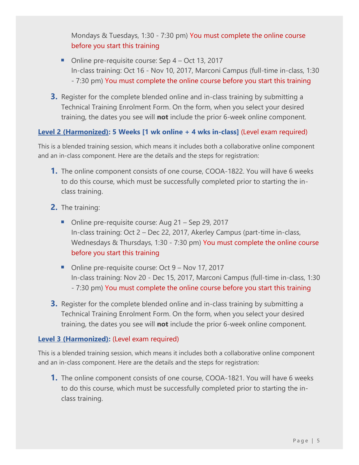Mondays & Tuesdays, 1:30 - 7:30 pm) You must complete the online course before you start this training

- Online pre-requisite course: Sep 4 Oct 13, 2017 In-class training: Oct 16 - Nov 10, 2017, Marconi Campus (full-time in-class, 1:30 - 7:30 pm) You must complete the online course before you start this training
- **3.** Register for the complete blended online and in-class training by submitting a Technical Training Enrolment Form. On the form, when you select your desired training, the dates you see will **not** include the prior 6-week online component.

#### **Level [2 \(Harmonized\):](https://www.nsapprenticeship.ca/sites/default/files/docs/pubs/CookAACS.pdf) 5 Weeks [1 wk online + 4 wks in-class]** (Level exam required)

This is a blended training session, which means it includes both a collaborative online component and an in-class component. Here are the details and the steps for registration:

- **1.** The online component consists of one course, COOA-1822. You will have 6 weeks to do this course, which must be successfully completed prior to starting the inclass training.
- **2.** The training:
	- Online pre-requisite course: Aug 21 Sep 29, 2017 In-class training: Oct 2 – Dec 22, 2017, Akerley Campus (part-time in-class, Wednesdays & Thursdays, 1:30 - 7:30 pm) You must complete the online course before you start this training
	- Online pre-requisite course: Oct 9 Nov 17, 2017 In-class training: Nov 20 - Dec 15, 2017, Marconi Campus (full-time in-class, 1:30 - 7:30 pm) You must complete the online course before you start this training
- **3.** Register for the complete blended online and in-class training by submitting a Technical Training Enrolment Form. On the form, when you select your desired training, the dates you see will **not** include the prior 6-week online component.

#### **[Level 3 \(Harmonized\):](https://www.nsapprenticeship.ca/sites/default/files/docs/pubs/CookAACS.pdf)** (Level exam required)

This is a blended training session, which means it includes both a collaborative online component and an in-class component. Here are the details and the steps for registration:

**1.** The online component consists of one course, COOA-1821. You will have 6 weeks to do this course, which must be successfully completed prior to starting the inclass training.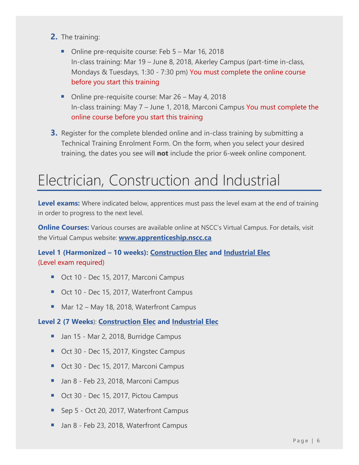- **2.** The training:
	- Online pre-requisite course: Feb 5 Mar 16, 2018 In-class training: Mar 19 – June 8, 2018, Akerley Campus (part-time in-class, Mondays & Tuesdays, 1:30 - 7:30 pm) You must complete the online course before you start this training
	- Online pre-requisite course: Mar 26 May 4, 2018 In-class training: May 7 – June 1, 2018, Marconi Campus You must complete the online course before you start this training
- **3.** Register for the complete blended online and in-class training by submitting a Technical Training Enrolment Form. On the form, when you select your desired training, the dates you see will **not** include the prior 6-week online component.

### <span id="page-6-0"></span>Electrician, Construction and Industrial

**Level exams:** Where indicated below, apprentices must pass the level exam at the end of training in order to progress to the next level.

**Online Courses:** Various courses are available online at NSCC's Virtual Campus. For details, visit the Virtual Campus website: **[www.apprenticeship.nscc.ca](http://www.apprenticeship.nscc.ca/)**

**Level 1 (Harmonized – 10 weeks): [Construction Elec](https://www.nsapprenticeship.ca/sites/default/files/docs/pubs/CElecAACS.pdf) and [Industrial Elec](https://nsapprenticeship.ca/sites/default/files/docs/pubs/IEAACS.pdf)** (Level exam required)

- Oct 10 Dec 15, 2017, Marconi Campus
- Oct 10 Dec 15, 2017, Waterfront Campus
- Mar 12 May 18, 2018, Waterfront Campus

#### **Level 2 (7 Weeks**): **[Construction Elec](https://nsapprenticeship.ca/sites/default/files/docs/pubs/CEIPG.pdf) and [Industrial Elec](https://nsapprenticeship.ca/sites/default/files/docs/pubs/IEIPG.pdf)**

- Jan 15 Mar 2, 2018, Burridge Campus
- Oct 30 Dec 15, 2017, Kingstec Campus
- Oct 30 Dec 15, 2017, Marconi Campus
- Jan 8 Feb 23, 2018, Marconi Campus
- Oct 30 Dec 15, 2017, Pictou Campus
- Sep 5 Oct 20, 2017, Waterfront Campus
- Jan 8 Feb 23, 2018, Waterfront Campus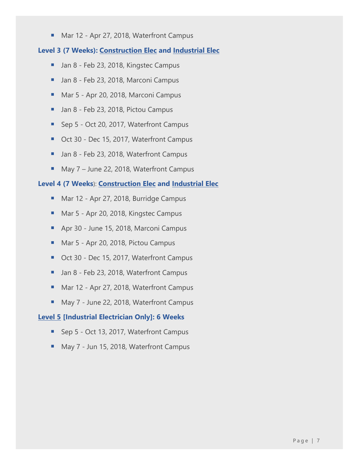■ Mar 12 - Apr 27, 2018, Waterfront Campus

#### **Level 3 (7 Weeks): [Construction Elec](https://nsapprenticeship.ca/sites/default/files/docs/pubs/CEIPG.pdf) and [Industrial Elec](https://nsapprenticeship.ca/sites/default/files/docs/pubs/IEIPG.pdf)**

- Jan 8 Feb 23, 2018, Kingstec Campus
- Jan 8 Feb 23, 2018, Marconi Campus
- Mar 5 Apr 20, 2018, Marconi Campus
- Jan 8 Feb 23, 2018, Pictou Campus
- Sep 5 Oct 20, 2017, Waterfront Campus
- Oct 30 Dec 15, 2017, Waterfront Campus
- Jan 8 Feb 23, 2018, Waterfront Campus
- May 7 June 22, 2018, Waterfront Campus

#### **Level 4 (7 Weeks**): **[Construction Elec](https://nsapprenticeship.ca/sites/default/files/docs/pubs/CEIPG.pdf) and [Industrial Elec](https://nsapprenticeship.ca/sites/default/files/docs/pubs/IEIPG.pdf)**

- Mar 12 Apr 27, 2018, Burridge Campus
- Mar 5 Apr 20, 2018, Kingstec Campus
- Apr 30 June 15, 2018, Marconi Campus
- Mar 5 Apr 20, 2018, Pictou Campus
- Oct 30 Dec 15, 2017, Waterfront Campus
- Jan 8 Feb 23, 2018, Waterfront Campus
- Mar 12 Apr 27, 2018, Waterfront Campus
- May 7 June 22, 2018, Waterfront Campus

#### **[Level 5](https://www.nsapprenticeship.ca/sites/default/files/docs/pubs/IEIPG.pdf) [Industrial Electrician Only]: 6 Weeks**

- Sep 5 Oct 13, 2017, Waterfront Campus
- May 7 Jun 15, 2018, Waterfront Campus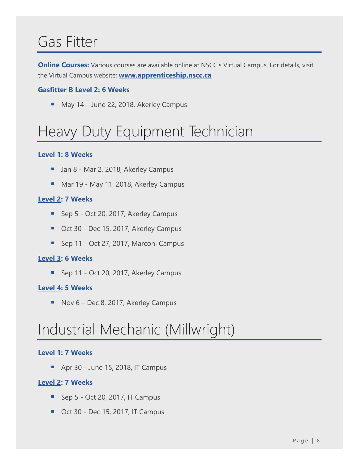# <span id="page-8-0"></span>Gas Fitter

**Online Courses:** Various courses are available online at NSCC's Virtual Campus. For details, visit the Virtual Campus website: **[www.apprenticeship.nscc.ca](http://www.apprenticeship.nscc.ca/)**

#### **[Gasfitter B Level 2:](https://www.nsapprenticeship.ca/sites/default/files/docs/pubs/Gas-ClassB.pdf) 6 Weeks**

■ May 14 – June 22, 2018, Akerley Campus

# <span id="page-8-1"></span>Heavy Duty Equipment Technician

#### **[Level 1:](https://www.nsapprenticeship.ca/sites/default/files/docs/pubs/HDNACS.pdf) 8 Weeks**

- Jan 8 Mar 2, 2018, Akerley Campus
- Mar 19 May 11, 2018, Akerley Campus

#### **[Level 2:](https://www.nsapprenticeship.ca/sites/default/files/docs/pubs/HDIPG.pdf) 7 Weeks**

- Sep 5 Oct 20, 2017, Akerley Campus
- Oct 30 Dec 15, 2017, Akerley Campus
- Sep 11 Oct 27, 2017, Marconi Campus

#### **[Level 3:](https://www.nsapprenticeship.ca/sites/default/files/docs/pubs/HDIPG.pdf) 6 Weeks**

■ Sep 11 - Oct 20, 2017, Akerley Campus

#### **[Level 4:](https://nsapprenticeship.ca/sites/default/files/docs/pubs/HDIPG.pdf) 5 Weeks**

■ Nov 6 – Dec 8, 2017, Akerley Campus

# <span id="page-8-2"></span>Industrial Mechanic (Millwright)

#### **[Level 1:](https://www.nsapprenticeship.ca/sites/default/files/docs/pubs/IMMNACS.pdf) 7 Weeks**

■ Apr 30 - June 15, 2018, IT Campus

#### **[Level 2:](https://www.nsapprenticeship.ca/sites/default/files/docs/pubs/IMMIPG.pdf) 7 Weeks**

- Sep 5 Oct 20, 2017, IT Campus
- Oct 30 Dec 15, 2017, IT Campus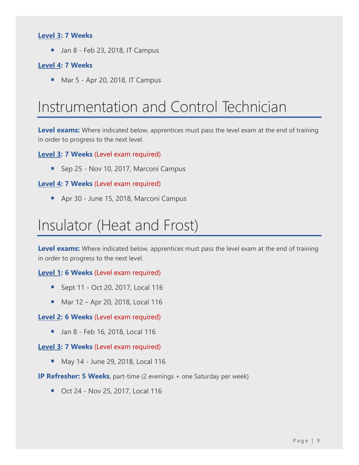#### **[Level 3:](https://www.nsapprenticeship.ca/sites/default/files/docs/pubs/IMMIPG.pdf) 7 Weeks**

 $\blacksquare$  Jan 8 - Feb 23, 2018, IT Campus

#### **[Level 4:](https://www.nsapprenticeship.ca/sites/default/files/docs/pubs/IMMIPG.pdf) 7 Weeks**

■ Mar 5 - Apr 20, 2018, IT Campus

### <span id="page-9-0"></span>Instrumentation and Control Technician

**Level exams:** Where indicated below, apprentices must pass the level exam at the end of training in order to progress to the next level.

**[Level 3:](https://www.nsapprenticeship.ca/sites/default/files/docs/pubs/ICTIPG.pdf) 7 Weeks** (Level exam required)

■ Sep 25 - Nov 10, 2017, Marconi Campus

#### **[Level 4:](https://www.nsapprenticeship.ca/sites/default/files/docs/pubs/ICTIPG.pdf) 7 Weeks** (Level exam required)

■ Apr 30 - June 15, 2018, Marconi Campus

### <span id="page-9-1"></span>Insulator (Heat and Frost)

**Level exams:** Where indicated below, apprentices must pass the level exam at the end of training in order to progress to the next level.

#### **[Level 1:](https://www.nsapprenticeship.ca/sites/default/files/docs/pubs/IHFACS.pdf) 6 Weeks** (Level exam required)

- Sept 11 Oct 20, 2017, Local 116
- Mar 12 Apr 20, 2018, Local 116

#### **[Level 2:](https://www.nsapprenticeship.ca/sites/default/files/docs/pubs/IHFACS.pdf) 6 Weeks** (Level exam required)

■ Jan 8 - Feb 16, 2018, Local 116

#### **[Level 3:](https://www.nsapprenticeship.ca/sites/default/files/docs/pubs/IHFACS.pdf) 7 Weeks** (Level exam required)

■ May 14 - June 29, 2018, Local 116

#### **IP Refresher: 5 Weeks**, part-time (2 evenings + one Saturday per week)

■ Oct 24 - Nov 25, 2017, Local 116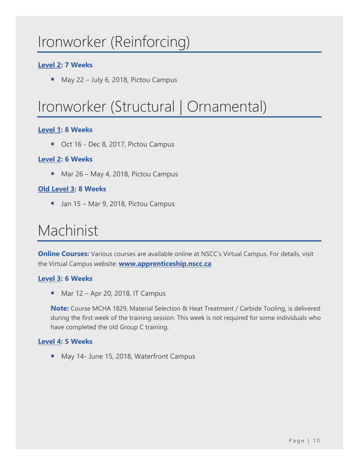### <span id="page-10-0"></span>Ironworker (Reinforcing)

#### **[Level 2:](https://www.nsapprenticeship.ca/sites/default/files/docs/pubs/IronRNACS.pdf) 7 Weeks**

■ May 22 – July 6, 2018, Pictou Campus

# <span id="page-10-1"></span>Ironworker (Structural | Ornamental)

#### **[Level 1:](https://www.nsapprenticeship.ca/sites/default/files/docs/pubs/IronSNACS.pdf) 8 Weeks**

■ Oct 16 - Dec 8, 2017, Pictou Campus

#### **[Level 2:](https://www.nsapprenticeship.ca/sites/default/files/docs/pubs/IronSNACS.pdf) 6 Weeks**

■ Mar 26 – May 4, 2018, Pictou Campus

#### **Old [Level 3:](https://www.nsapprenticeship.ca/sites/default/files/docs/pubs/IronSIPG.pdf) 8 Weeks**

■ Jan 15 – Mar 9, 2018, Pictou Campus

### <span id="page-10-2"></span>Machinist

**Online Courses:** Various courses are available online at NSCC's Virtual Campus. For details, visit the Virtual Campus website: **[www.apprenticeship.nscc.ca](http://www.apprenticeship.nscc.ca/)**

#### **[Level 3:](https://www.nsapprenticeship.ca/sites/default/files/docs/pubs/MachIPG.pdf) 6 Weeks**

 $\blacksquare$  Mar 12 – Apr 20, 2018, IT Campus

**Note:** Course MCHA 1829, Material Selection & Heat Treatment / Carbide Tooling, is delivered during the first week of the training session. This week is not required for some individuals who have completed the old Group C training.

#### **[Level 4:](https://www.nsapprenticeship.ca/sites/default/files/docs/pubs/MachIPG.pdf) 5 Weeks**

■ May 14- June 15, 2018, Waterfront Campus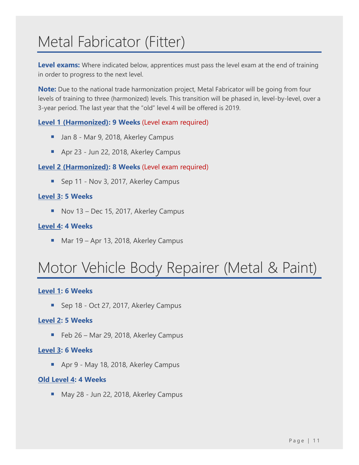# <span id="page-11-0"></span>Metal Fabricator (Fitter)

**Level exams:** Where indicated below, apprentices must pass the level exam at the end of training in order to progress to the next level.

**Note:** Due to the national trade harmonization project, Metal Fabricator will be going from four levels of training to three (harmonized) levels. This transition will be phased in, level-by-level, over a 3-year period. The last year that the "old" level 4 will be offered is 2019.

#### **[Level 1 \(Harmonized\):](https://www.nsapprenticeship.ca/sites/default/files/docs/pubs/MFAACS.pdf) 9 Weeks** (Level exam required)

- Jan 8 Mar 9, 2018, Akerley Campus
- Apr 23 Jun 22, 2018, Akerley Campus

#### **[Level 2 \(Harmonized\):](https://www.nsapprenticeship.ca/sites/default/files/docs/pubs/MFAACS.pdf) 8 Weeks** (Level exam required)

■ Sep 11 - Nov 3, 2017, Akerley Campus

#### **[Level 3:](https://www.nsapprenticeship.ca/sites/default/files/docs/pubs/MFIPG.pdf) 5 Weeks**

■ Nov 13 – Dec 15, 2017, Akerley Campus

#### **[Level 4:](https://www.nsapprenticeship.ca/sites/default/files/docs/pubs/MFIPG.pdf) 4 Weeks**

■ Mar 19 – Apr 13, 2018, Akerley Campus

# <span id="page-11-1"></span>Motor Vehicle Body Repairer (Metal & Paint)

#### **[Level 1:](https://www.nsapprenticeship.ca/sites/default/files/docs/pubs/MVBRIPG2.pdf) 6 Weeks**

■ Sep 18 - Oct 27, 2017, Akerley Campus

#### **[Level 2:](https://www.nsapprenticeship.ca/sites/default/files/docs/pubs/MVBRIPG2.pdf) 5 Weeks**

■ Feb 26 – Mar 29, 2018, Akerley Campus

#### **[Level 3:](https://www.nsapprenticeship.ca/sites/default/files/docs/pubs/MVBRIPG2.pdf) 6 Weeks**

■ Apr 9 - May 18, 2018, Akerley Campus

#### **Old [Level 4:](https://www.nsapprenticeship.ca/sites/default/files/docs/pubs/MVBRIPG1.pdf) 4 Weeks**

■ May 28 - Jun 22, 2018, Akerley Campus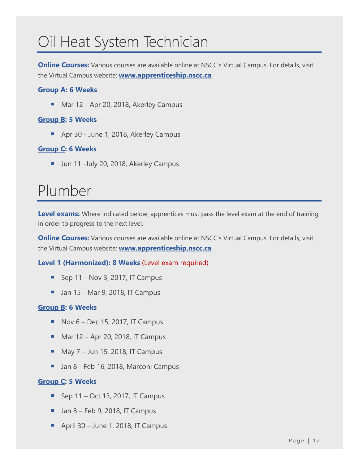# <span id="page-12-0"></span>Oil Heat System Technician

**Online Courses:** Various courses are available online at NSCC's Virtual Campus. For details, visit the Virtual Campus website: **[www.apprenticeship.nscc.ca](http://www.apprenticeship.nscc.ca/)**

#### **[Group A:](https://www.nsapprenticeship.ca/sites/default/files/docs/pubs/OHSTACS.pdf) 6 Weeks**

■ Mar 12 - Apr 20, 2018, Akerley Campus

#### **[Group B:](https://www.nsapprenticeship.ca/sites/default/files/docs/pubs/OHSTACS.pdf) 5 Weeks**

■ Apr 30 - June 1, 2018, Akerley Campus

#### **[Group C:](https://www.nsapprenticeship.ca/sites/default/files/docs/pubs/OHSTACS.pdf) 6 Weeks**

■ Jun 11 -July 20, 2018, Akerley Campus

### <span id="page-12-1"></span>Plumber

Level exams: Where indicated below, apprentices must pass the level exam at the end of training in order to progress to the next level.

**Online Courses:** Various courses are available online at NSCC's Virtual Campus. For details, visit the Virtual Campus website: **[www.apprenticeship.nscc.ca](http://www.apprenticeship.nscc.ca/)**

**[Level 1 \(Harmonized\):](https://www.nsapprenticeship.ca/sites/default/files/docs/pubs/PlumbAACS.pdf) 8 Weeks** (Level exam required)

- Sep 11 Nov 3, 2017, IT Campus
- Jan 15 Mar 9, 2018, IT Campus

#### **[Group B:](https://www.nsapprenticeship.ca/sites/default/files/docs/pubs/PlumbACS.pdf) 6 Weeks**

- $\blacksquare$  Nov 6 Dec 15, 2017, IT Campus
- $\underline{\hspace{1em}}$  Mar 12 Apr 20, 2018, IT Campus
- $\blacksquare$  May 7 Jun 15, 2018, IT Campus
- Jan 8 Feb 16, 2018, Marconi Campus

#### **[Group C:](https://www.nsapprenticeship.ca/sites/default/files/docs/pubs/PlumbACS.pdf) 5 Weeks**

- $\blacksquare$  Sep 11 Oct 13, 2017, IT Campus
- $\blacksquare$  Jan 8 Feb 9, 2018, IT Campus
- April 30 June 1, 2018, IT Campus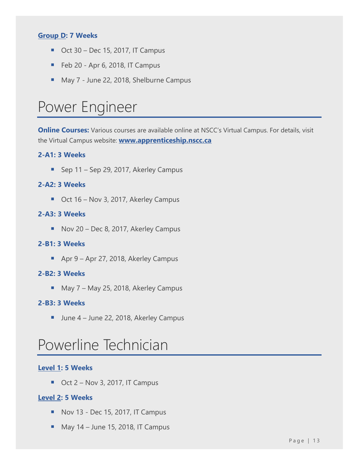#### **[Group D:](https://www.nsapprenticeship.ca/sites/default/files/docs/pubs/PlumbACS.pdf) 7 Weeks**

- $\blacksquare$  Oct 30 Dec 15, 2017, IT Campus
- $\blacksquare$  Feb 20 Apr 6, 2018, IT Campus
- May 7 June 22, 2018, Shelburne Campus

### <span id="page-13-0"></span>Power Engineer

**Online Courses:** Various courses are available online at NSCC's Virtual Campus. For details, visit the Virtual Campus website: **[www.apprenticeship.nscc.ca](http://www.apprenticeship.nscc.ca/)**

#### **2-A1: 3 Weeks**

■ Sep 11 – Sep 29, 2017, Akerley Campus

#### **2-A2: 3 Weeks**

■ Oct 16 – Nov 3, 2017, Akerley Campus

#### **2-A3: 3 Weeks**

■ Nov 20 – Dec 8, 2017, Akerley Campus

#### **2-B1: 3 Weeks**

■ Apr 9 – Apr 27, 2018, Akerley Campus

#### **2-B2: 3 Weeks**

■ May 7 – May 25, 2018, Akerley Campus

#### **2-B3: 3 Weeks**

■ June 4 – June 22, 2018, Akerley Campus

### <span id="page-13-1"></span>Powerline Technician

#### **[Level 1:](https://www.nsapprenticeship.ca/sites/default/files/docs/pubs/PowerACS.pdf) 5 Weeks**

 $\blacksquare$  Oct 2 – Nov 3, 2017, IT Campus

#### **[Level 2:](https://www.nsapprenticeship.ca/sites/default/files/docs/pubs/PowerACS.pdf) 5 Weeks**

- Nov 13 Dec 15, 2017, IT Campus
- $M$  May 14 June 15, 2018, IT Campus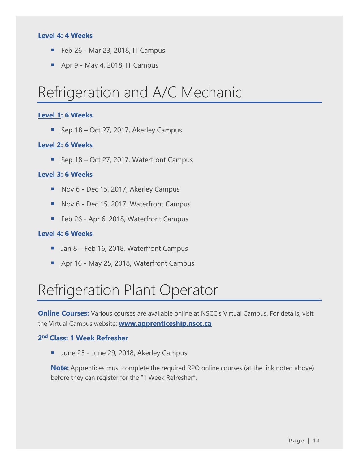#### **[Level 4:](https://www.nsapprenticeship.ca/sites/default/files/docs/pubs/PowerACS.pdf) 4 Weeks**

- Feb 26 Mar 23, 2018, IT Campus
- $\blacksquare$  Apr 9 May 4, 2018, IT Campus

### <span id="page-14-0"></span>Refrigeration and A/C Mechanic

#### **[Level 1:](https://www.nsapprenticeship.ca/sites/default/files/docs/pubs/RACMIPG.pdf) 6 Weeks**

■ Sep 18 – Oct 27, 2017, Akerley Campus

#### **[Level 2:](https://www.nsapprenticeship.ca/sites/default/files/docs/pubs/RACMIPG.pdf) 6 Weeks**

■ Sep 18 – Oct 27, 2017, Waterfront Campus

#### **[Level 3:](https://www.nsapprenticeship.ca/sites/default/files/docs/pubs/RACMIPG.pdf) 6 Weeks**

- Nov 6 Dec 15, 2017, Akerley Campus
- Nov 6 Dec 15, 2017, Waterfront Campus
- Feb 26 Apr 6, 2018, Waterfront Campus

#### **[Level 4:](https://www.nsapprenticeship.ca/sites/default/files/docs/pubs/RACMIPG.pdf) 6 Weeks**

- Jan 8 Feb 16, 2018, Waterfront Campus
- Apr 16 May 25, 2018, Waterfront Campus

# <span id="page-14-1"></span>Refrigeration Plant Operator

**Online Courses:** Various courses are available online at NSCC's Virtual Campus. For details, visit the Virtual Campus website: **[www.apprenticeship.nscc.ca](http://www.apprenticeship.nscc.ca/)**

#### **2 nd Class: 1 Week Refresher**

■ June 25 - June 29, 2018, Akerley Campus

**Note:** Apprentices must complete the required RPO online courses (at the link noted above) before they can register for the "1 Week Refresher".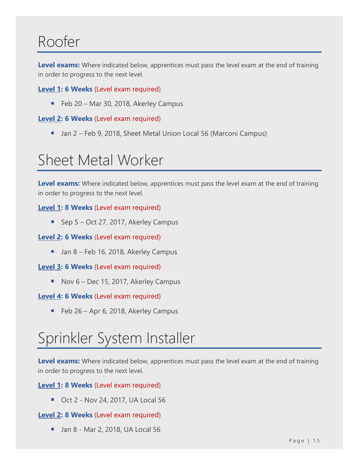### <span id="page-15-0"></span>Roofer

**Level exams:** Where indicated below, apprentices must pass the level exam at the end of training in order to progress to the next level.

#### **[Level 1:](https://www.nsapprenticeship.ca/sites/default/files/docs/pubs/RoofACS.pdf) 6 Weeks** (Level exam required)

■ Feb 20 – Mar 30, 2018, Akerley Campus

#### **[Level 2:](https://www.nsapprenticeship.ca/sites/default/files/docs/pubs/RoofACS.pdf) 6 Weeks** (Level exam required)

■ Jan 2 – Feb 9, 2018, Sheet Metal Union Local 56 (Marconi Campus)

# <span id="page-15-1"></span>Sheet Metal Worker

**Level exams:** Where indicated below, apprentices must pass the level exam at the end of training in order to progress to the next level.

#### **[Level 1:](https://www.nsapprenticeship.ca/sites/default/files/docs/pubs/SMIPG.pdf) 8 Weeks** (Level exam required)

■ Sep 5 – Oct 27, 2017, Akerley Campus

#### **[Level 2:](https://www.nsapprenticeship.ca/sites/default/files/docs/pubs/SMIPG.pdf) 6 Weeks** (Level exam required)

■ Jan 8 – Feb 16, 2018, Akerley Campus

#### **[Level 3:](https://www.nsapprenticeship.ca/sites/default/files/docs/pubs/SMIPG.pdf) 6 Weeks** (Level exam required)

■ Nov 6 – Dec 15, 2017, Akerley Campus

#### **[Level 4:](https://www.nsapprenticeship.ca/sites/default/files/docs/pubs/SMIPG.pdf) 6 Weeks** (Level exam required)

■ Feb 26 – Apr 6, 2018, Akerley Campus

# <span id="page-15-2"></span>Sprinkler System Installer

**Level exams:** Where indicated below, apprentices must pass the level exam at the end of training in order to progress to the next level.

**[Level 1:](https://www.nsapprenticeship.ca/sites/default/files/docs/pubs/SSIIPG.pdf) 8 Weeks** (Level exam required)

■ Oct 2 - Nov 24, 2017, UA Local 56

#### **[Level 2:](https://www.nsapprenticeship.ca/sites/default/files/docs/pubs/SSIIPG.pdf) 8 Weeks** (Level exam required)

■ Jan 8 - Mar 2, 2018, UA Local 56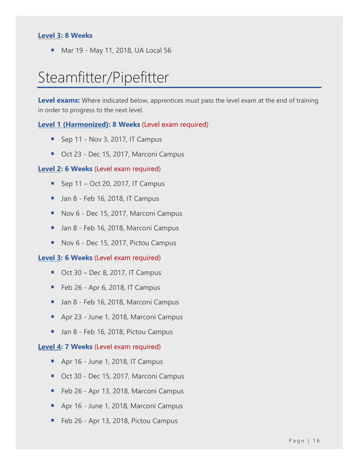#### **[Level 3:](https://www.nsapprenticeship.ca/sites/default/files/docs/pubs/SSIIPG.pdf) 8 Weeks**

■ Mar 19 - May 11, 2018, UA Local 56

### <span id="page-16-0"></span>Steamfitter/Pipefitter

**Level exams:** Where indicated below, apprentices must pass the level exam at the end of training in order to progress to the next level.

#### **Level 1 [\(Harmonized\):](https://www.nsapprenticeship.ca/sites/default/files/docs/pubs/SteamAACS.pdf) 8 Weeks** (Level exam required)

- Sep 11 Nov 3, 2017, IT Campus
- Oct 23 Dec 15, 2017, Marconi Campus

#### **[Level 2:](https://www.nsapprenticeship.ca/sites/default/files/docs/pubs/SteamIPG.pdf) 6 Weeks** (Level exam required)

- $\blacksquare$  Sep 11 Oct 20, 2017, IT Campus
- $\blacksquare$  Jan 8 Feb 16, 2018, IT Campus
- Nov 6 Dec 15, 2017, Marconi Campus
- Jan 8 Feb 16, 2018, Marconi Campus
- Nov 6 Dec 15, 2017, Pictou Campus

#### **[Level 3:](https://www.nsapprenticeship.ca/sites/default/files/docs/pubs/SteamIPG.pdf) 6 Weeks** (Level exam required)

- $\blacksquare$  Oct 30 Dec 8, 2017, IT Campus
- $\blacksquare$  Feb 26 Apr 6, 2018, IT Campus
- Jan 8 Feb 16, 2018, Marconi Campus
- Apr 23 June 1, 2018, Marconi Campus
- Jan 8 Feb 16, 2018, Pictou Campus

#### **[Level 4:](https://www.nsapprenticeship.ca/sites/default/files/docs/pubs/SteamIPG.pdf) 7 Weeks** (Level exam required)

- Apr 16 June 1, 2018, IT Campus
- Oct 30 Dec 15, 2017, Marconi Campus
- Feb 26 Apr 13, 2018, Marconi Campus
- Apr 16 June 1, 2018, Marconi Campus
- Feb 26 Apr 13, 2018, Pictou Campus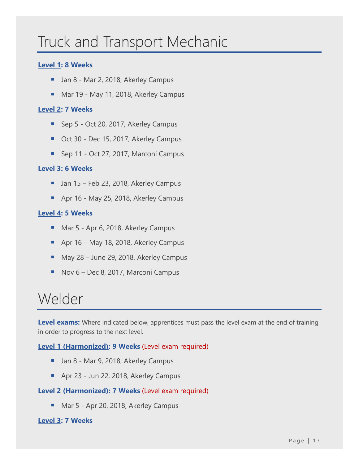# <span id="page-17-0"></span>Truck and Transport Mechanic

#### **[Level 1:](https://www.nsapprenticeship.ca/sites/default/files/docs/pubs/TTMNACS.pdf) 8 Weeks**

- Jan 8 Mar 2, 2018, Akerley Campus
- Mar 19 May 11, 2018, Akerley Campus

#### **[Level 2:](https://www.nsapprenticeship.ca/sites/default/files/docs/pubs/TTMIPG.pdf) 7 Weeks**

- Sep 5 Oct 20, 2017, Akerley Campus
- Oct 30 Dec 15, 2017, Akerley Campus
- Sep 11 Oct 27, 2017, Marconi Campus

#### **[Level 3:](https://www.nsapprenticeship.ca/sites/default/files/docs/pubs/TTMIPG.pdf) 6 Weeks**

- Jan 15 Feb 23, 2018, Akerley Campus
- Apr 16 May 25, 2018, Akerley Campus

#### **[Level 4:](https://www.nsapprenticeship.ca/sites/default/files/docs/pubs/TTMIPG.pdf) 5 Weeks**

- Mar 5 Apr 6, 2018, Akerley Campus
- Apr 16 May 18, 2018, Akerley Campus
- May 28 June 29, 2018, Akerley Campus
- Nov 6 Dec 8, 2017, Marconi Campus

### <span id="page-17-1"></span>Welder

Level exams: Where indicated below, apprentices must pass the level exam at the end of training in order to progress to the next level.

#### **[Level 1 \(Harmonized\):](https://nsapprenticeship.ca/sites/default/files/docs/pubs/WeldAACS.pdf) 9 Weeks** (Level exam required)

- Jan 8 Mar 9, 2018, Akerley Campus
- Apr 23 Jun 22, 2018, Akerley Campus

#### **[Level 2 \(Harmonized\):](https://www.nsapprenticeship.ca/sites/default/files/docs/pubs/WeldAACS.pdf) 7 Weeks** (Level exam required)

■ Mar 5 - Apr 20, 2018, Akerley Campus

#### **[Level 3:](https://www.nsapprenticeship.ca/sites/default/files/docs/pubs/WeldIPG.pdf) 7 Weeks**